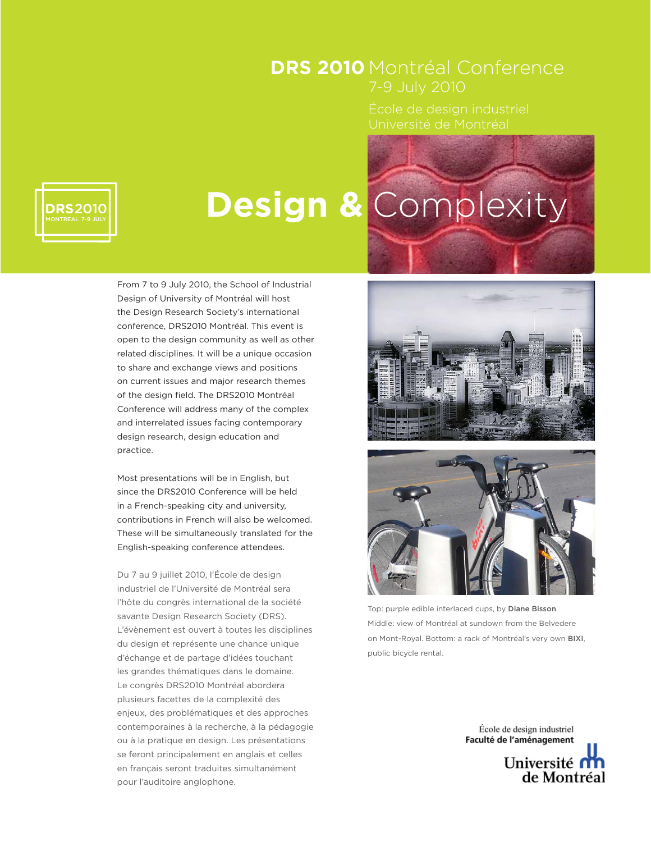## DRS 2010 Montréal Conference

Université de Montréal

# **Design &** Complexity

From 7 to 9 July 2010, the School of Industrial Design of University of Montréal will host the Design Research Society's international conference, DRS2010 Montréal. This event is open to the design community as well as other related disciplines. It will be a unique occasion to share and exchange views and positions on current issues and major research themes of the design field. The DRS2010 Montréal Conference will address many of the complex and interrelated issues facing contemporary design research, design education and practice.

Most presentations will be in English, but since the DRS2010 Conference will be held in a French-speaking city and university, contributions in French will also be welcomed. These will be simultaneously translated for the English-speaking conference attendees.

Du 7 au 9 juillet 2010, l'École de design industriel de l'Université de Montréal sera l'hôte du congrès international de la société savante Design Research Society (DRS). L'évènement est ouvert à toutes les disciplines du design et représente une chance unique d'échange et de partage d'idées touchant les grandes thématiques dans le domaine. Le congrès DRS2010 Montréal abordera plusieurs facettes de la complexité des enjeux, des problématiques et des approches contemporaines à la recherche, à la pédagogie ou à la pratique en design. Les présentations se feront principalement en anglais et celles en français seront traduites simultanément pour l'auditoire anglophone.





Top: purple edible interlaced cups, by Diane Bisson. Middle: view of Montréal at sundown from the Belvedere on Mont-Royal. Bottom: a rack of Montréal's very own BIXI, public bicycle rental.

> École de design industriel Faculté de l'aménagement Université n de Montréal

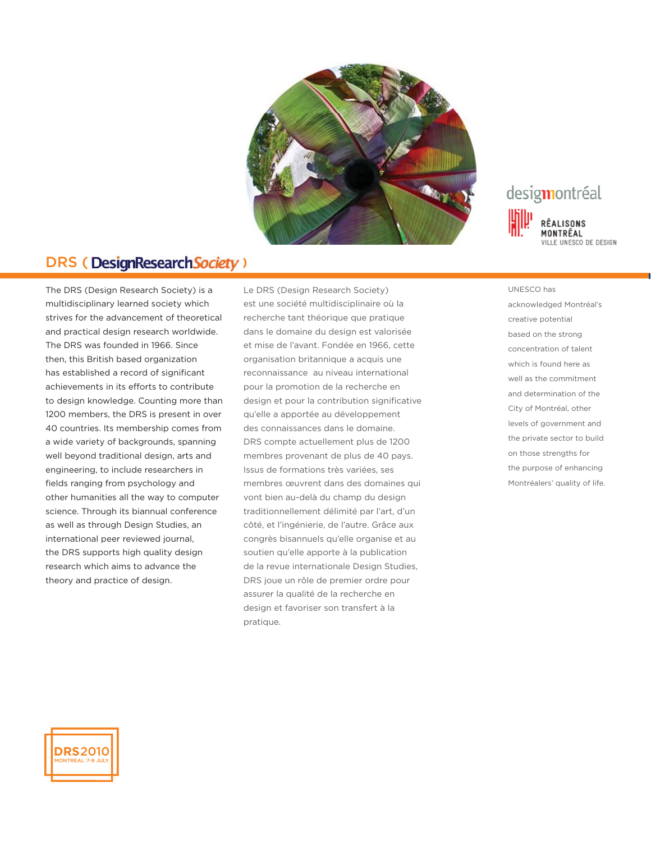

### DRS (Design Research Society)

The DRS (Design Research Society) is a multidisciplinary learned society which strives for the advancement of theoretical and practical design research worldwide. The DRS was founded in 1966. Since then, this British based organization has established a record of significant achievements in its efforts to contribute to design knowledge. Counting more than 1200 members, the DRS is present in over 40 countries. Its membership comes from a wide variety of backgrounds, spanning well beyond traditional design, arts and engineering, to include researchers in fields ranging from psychology and other humanities all the way to computer science. Through its biannual conference as well as through Design Studies, an international peer reviewed journal, the DRS supports high quality design research which aims to advance the theory and practice of design.

Le DRS (Design Research Society) est une société multidisciplinaire où la recherche tant théorique que pratique dans le domaine du design est valorisée et mise de l'avant. Fondée en 1966, cette organisation britannique a acquis une reconnaissance au niveau international pour la promotion de la recherche en design et pour la contribution significative qu'elle a apportée au développement des connaissances dans le domaine. DRS compte actuellement plus de 1200 membres provenant de plus de 40 pays. Issus de formations très variées, ses membres œuvrent dans des domaines qui vont bien au-delà du champ du design traditionnellement délimité par l'art, d'un côté, et l'ingénierie, de l'autre. Grâce aux congrès bisannuels qu'elle organise et au soutien qu'elle apporte à la publication de la revue internationale Design Studies, DRS joue un rôle de premier ordre pour assurer la qualité de la recherche en design et favoriser son transfert à la pratique.



UNESCO has acknowledged Montréal's creative potential based on the strong concentration of talent which is found here as well as the commitment and determination of the City of Montréal, other levels of government and the private sector to build on those strengths for the purpose of enhancing Montréalers' quality of life.

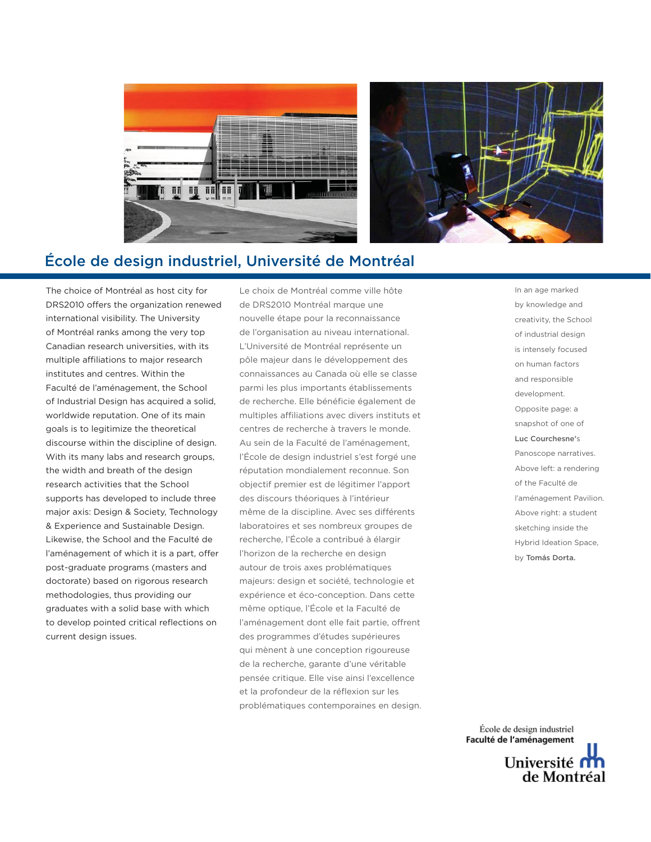



#### École de design industriel, Université de Montréal

The choice of Montréal as host city for DRS2010 offers the organization renewed international visibility. The University of Montréal ranks among the very top Canadian research universities, with its multiple affiliations to major research institutes and centres. Within the Faculté de l'aménagement, the School of Industrial Design has acquired a solid, worldwide reputation. One of its main goals is to legitimize the theoretical discourse within the discipline of design. With its many labs and research groups, the width and breath of the design research activities that the School supports has developed to include three major axis: Design & Society, Technology & Experience and Sustainable Design. Likewise, the School and the Faculté de l'aménagement of which it is a part, offer post-graduate programs (masters and doctorate) based on rigorous research methodologies, thus providing our graduates with a solid base with which to develop pointed critical reflections on current design issues.

Le choix de Montréal comme ville hôte de DRS2010 Montréal marque une nouvelle étape pour la reconnaissance de l'organisation au niveau international. L'Université de Montréal représente un pôle majeur dans le développement des connaissances au Canada où elle se classe parmi les plus importants établissements de recherche. Elle bénéficie également de multiples affiliations avec divers instituts et centres de recherche à travers le monde. Au sein de la Faculté de l'aménagement, l'École de design industriel s'est forgé une réputation mondialement reconnue. Son objectif premier est de légitimer l'apport des discours théoriques à l'intérieur même de la discipline. Avec ses différents laboratoires et ses nombreux groupes de recherche, l'École a contribué à élargir l'horizon de la recherche en design autour de trois axes problématiques majeurs: design et société, technologie et expérience et éco-conception. Dans cette même optique, l'École et la Faculté de l'aménagement dont elle fait partie, offrent des programmes d'études supérieures qui mènent à une conception rigoureuse de la recherche, garante d'une véritable pensée critique. Elle vise ainsi l'excellence et la profondeur de la réflexion sur les problématiques contemporaines en design. In an age marked by knowledge and creativity, the School of industrial design is intensely focused on human factors and responsible development. Opposite page: a snapshot of one of Luc Courchesne's Panoscope narratives. Above left: a rendering of the Faculté de l'aménagement Pavilion. Above right: a student sketching inside the Hybrid Ideation Space, by Tomás Dorta.